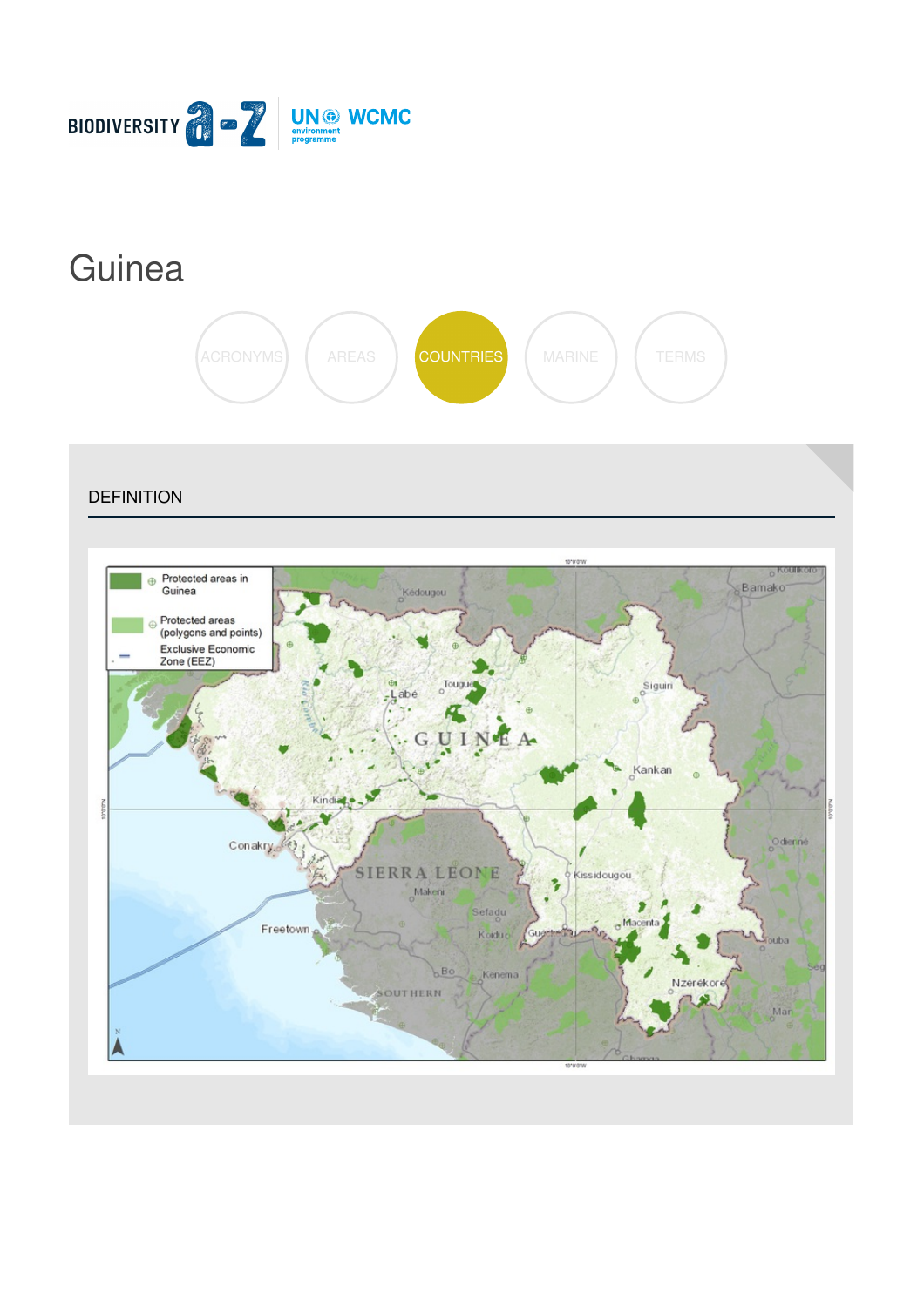

# **[Guinea](https://biodiversitya-z.org/content/guinea)**



**DEFINITION** 

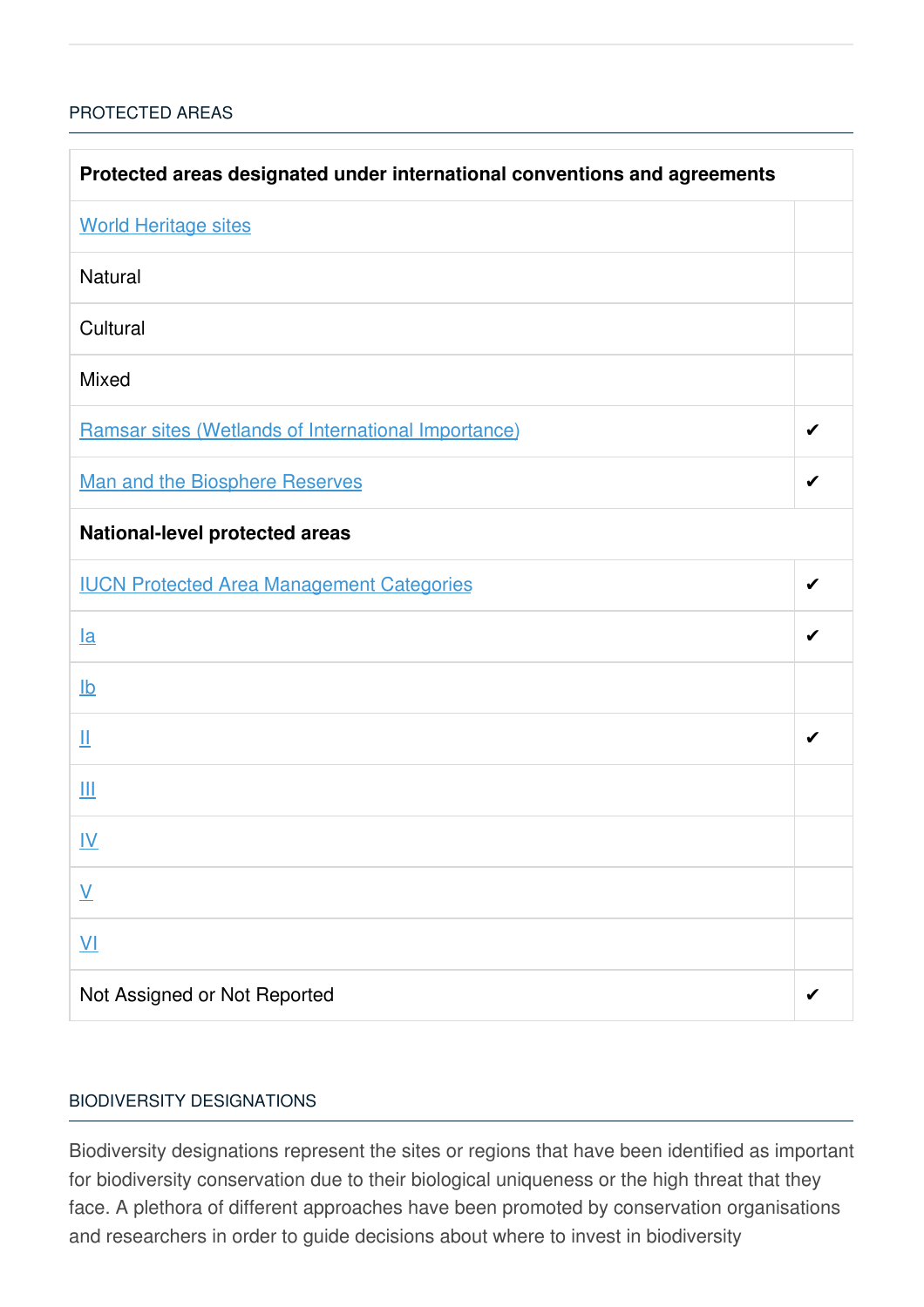## [PROTECTED](javascript:void(0)) AREAS

| Protected areas designated under international conventions and agreements |   |  |
|---------------------------------------------------------------------------|---|--|
| <b>World Heritage sites</b>                                               |   |  |
| Natural                                                                   |   |  |
| Cultural                                                                  |   |  |
| Mixed                                                                     |   |  |
| Ramsar sites (Wetlands of International Importance)                       | ✔ |  |
| <b>Man and the Biosphere Reserves</b>                                     | ✔ |  |
| <b>National-level protected areas</b>                                     |   |  |
| <b>IUCN Protected Area Management Categories</b>                          | ✔ |  |
| $l$ a                                                                     | ✔ |  |
| $\underline{\mathsf{lb}}$                                                 |   |  |
| Щ                                                                         | ✔ |  |
| Ш                                                                         |   |  |
| <u>IV</u>                                                                 |   |  |
| $\underline{\mathsf{V}}$                                                  |   |  |
| $\underline{V}$                                                           |   |  |
| Not Assigned or Not Reported                                              | ✔ |  |

### BIODIVERSITY [DESIGNATIONS](javascript:void(0))

Biodiversity designations represent the sites or regions that have been identified as important for biodiversity conservation due to their biological uniqueness or the high threat that they face. A plethora of different approaches have been promoted by conservation organisations and researchers in order to guide decisions about where to invest in biodiversity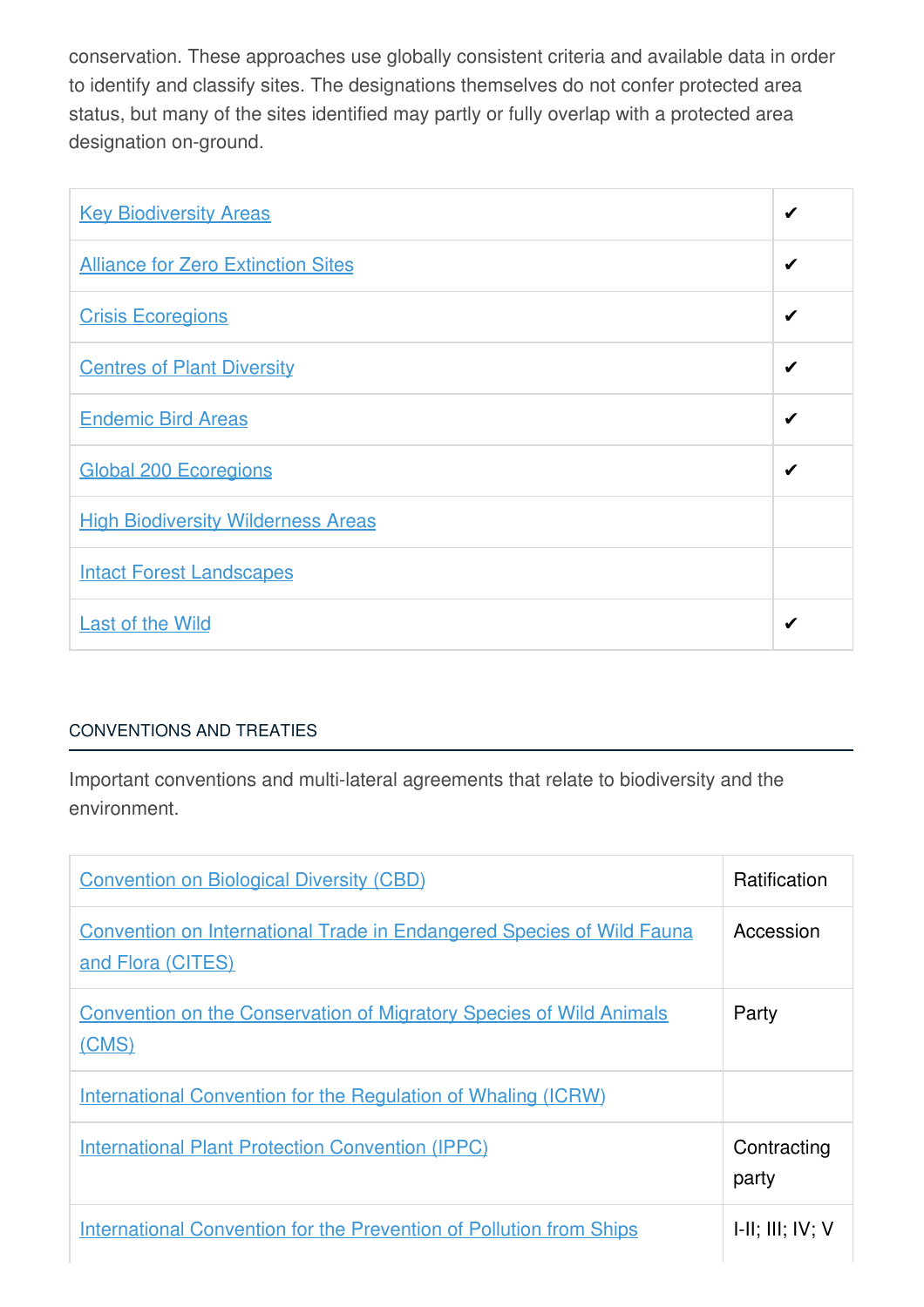conservation. These approaches use globally consistent criteria and available data in order to identify and classify sites. The designations themselves do not confer protected area status, but many of the sites identified may partly or fully overlap with a protected area designation on-ground.

| <b>Key Biodiversity Areas</b>             | ✔ |
|-------------------------------------------|---|
| <b>Alliance for Zero Extinction Sites</b> | ✔ |
| <b>Crisis Ecoregions</b>                  | ✔ |
| <b>Centres of Plant Diversity</b>         | ✔ |
| <b>Endemic Bird Areas</b>                 | ✔ |
| <b>Global 200 Ecoregions</b>              | ✔ |
| <b>High Biodiversity Wilderness Areas</b> |   |
| <b>Intact Forest Landscapes</b>           |   |
| <b>Last of the Wild</b>                   | ✔ |

## [CONVENTIONS](javascript:void(0)) AND TREATIES

Important conventions and multi-lateral agreements that relate to biodiversity and the environment.

| <b>Convention on Biological Diversity (CBD)</b>                                                   | <b>Ratification</b>         |
|---------------------------------------------------------------------------------------------------|-----------------------------|
| <b>Convention on International Trade in Endangered Species of Wild Fauna</b><br>and Flora (CITES) | Accession                   |
| <b>Convention on the Conservation of Migratory Species of Wild Animals</b><br>(CMS)               | Party                       |
| <b>International Convention for the Regulation of Whaling (ICRW)</b>                              |                             |
| <b>International Plant Protection Convention (IPPC)</b>                                           | Contracting<br>party        |
| <b>International Convention for the Prevention of Pollution from Ships</b>                        | $I-II$ ; $III$ ; $IV$ ; $V$ |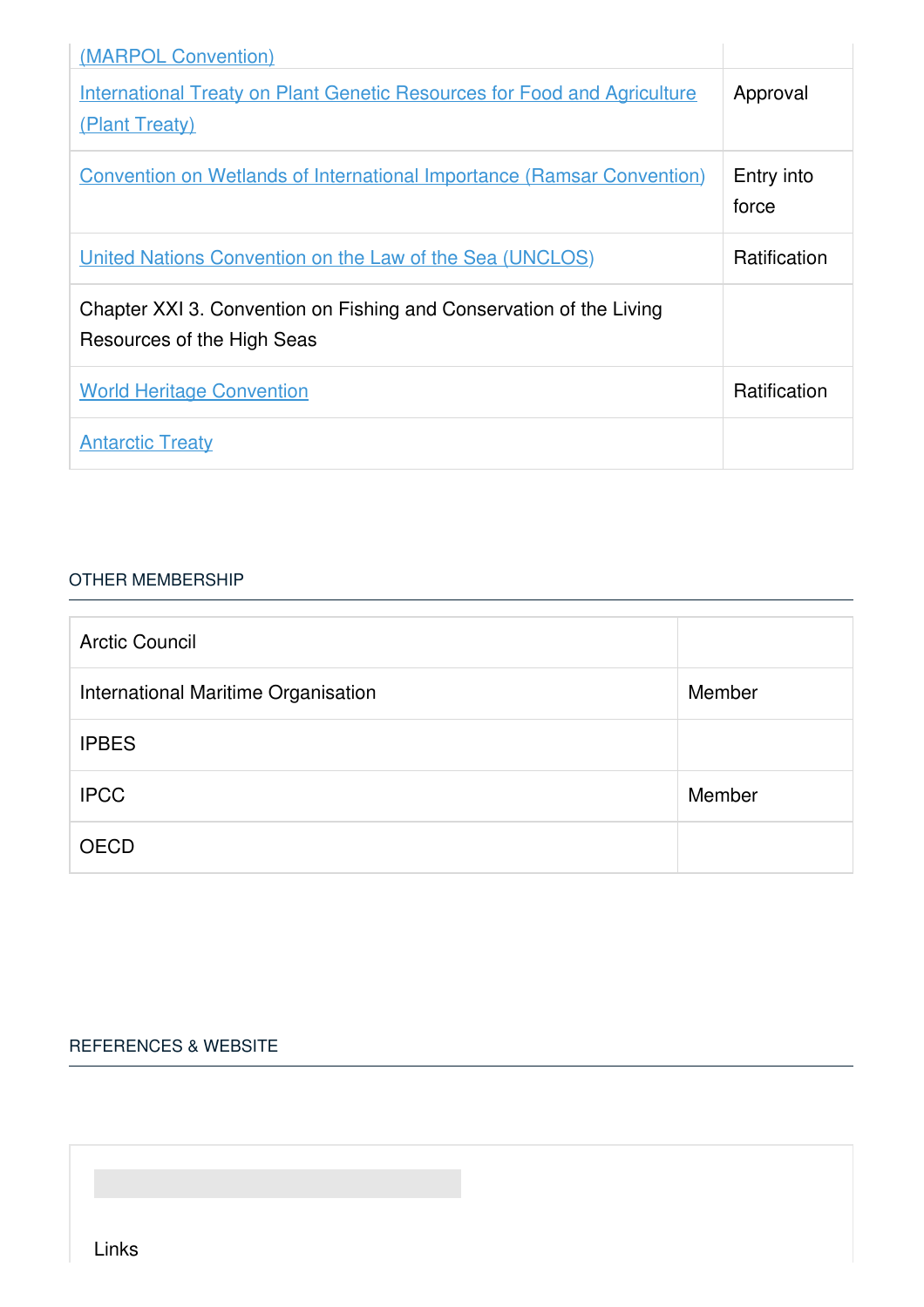| (MARPOL Convention)                                                                               |                     |
|---------------------------------------------------------------------------------------------------|---------------------|
| <b>International Treaty on Plant Genetic Resources for Food and Agriculture</b><br>(Plant Treaty) | Approval            |
| <b>Convention on Wetlands of International Importance (Ramsar Convention)</b>                     | Entry into<br>force |
| United Nations Convention on the Law of the Sea (UNCLOS)                                          | Ratification        |
| Chapter XXI 3. Convention on Fishing and Conservation of the Living<br>Resources of the High Seas |                     |
| <b>World Heritage Convention</b>                                                                  | Ratification        |
| <b>Antarctic Treaty</b>                                                                           |                     |

#### OTHER [MEMBERSHIP](javascript:void(0))

| <b>Arctic Council</b>               |        |
|-------------------------------------|--------|
| International Maritime Organisation | Member |
| <b>IPBES</b>                        |        |
| <b>IPCC</b>                         | Member |
| <b>OECD</b>                         |        |

#### [REFERENCES](javascript:void(0)) & WEBSITE